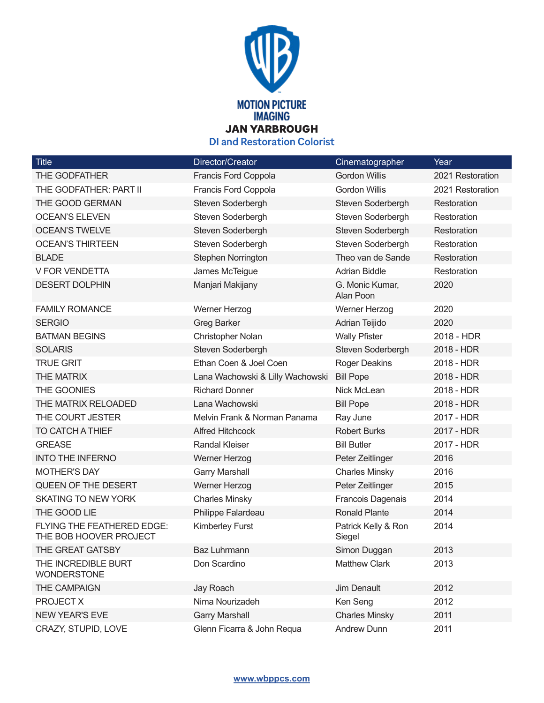

| <b>Title</b>                                         | Director/Creator                 | Cinematographer               | Year             |
|------------------------------------------------------|----------------------------------|-------------------------------|------------------|
| THE GODFATHER                                        | Francis Ford Coppola             | <b>Gordon Willis</b>          | 2021 Restoration |
| THE GODFATHER: PART II                               | Francis Ford Coppola             | <b>Gordon Willis</b>          | 2021 Restoration |
| THE GOOD GERMAN                                      | Steven Soderbergh                | Steven Soderbergh             | Restoration      |
| <b>OCEAN'S ELEVEN</b>                                | Steven Soderbergh                | Steven Soderbergh             | Restoration      |
| <b>OCEAN'S TWELVE</b>                                | Steven Soderbergh                | Steven Soderbergh             | Restoration      |
| <b>OCEAN'S THIRTEEN</b>                              | Steven Soderbergh                | Steven Soderbergh             | Restoration      |
| <b>BLADE</b>                                         | Stephen Norrington               | Theo van de Sande             | Restoration      |
| <b>V FOR VENDETTA</b>                                | James McTeigue                   | <b>Adrian Biddle</b>          | Restoration      |
| <b>DESERT DOLPHIN</b>                                | Manjari Makijany                 | G. Monic Kumar,<br>Alan Poon  | 2020             |
| <b>FAMILY ROMANCE</b>                                | Werner Herzog                    | Werner Herzog                 | 2020             |
| <b>SERGIO</b>                                        | <b>Greg Barker</b>               | Adrian Teijido                | 2020             |
| <b>BATMAN BEGINS</b>                                 | Christopher Nolan                | <b>Wally Pfister</b>          | 2018 - HDR       |
| <b>SOLARIS</b>                                       | Steven Soderbergh                | Steven Soderbergh             | 2018 - HDR       |
| <b>TRUE GRIT</b>                                     | Ethan Coen & Joel Coen           | Roger Deakins                 | 2018 - HDR       |
| THE MATRIX                                           | Lana Wachowski & Lilly Wachowski | <b>Bill Pope</b>              | 2018 - HDR       |
| THE GOONIES                                          | <b>Richard Donner</b>            | Nick McLean                   | 2018 - HDR       |
| THE MATRIX RELOADED                                  | Lana Wachowski                   | <b>Bill Pope</b>              | 2018 - HDR       |
| THE COURT JESTER                                     | Melvin Frank & Norman Panama     | Ray June                      | 2017 - HDR       |
| TO CATCH A THIEF                                     | <b>Alfred Hitchcock</b>          | <b>Robert Burks</b>           | 2017 - HDR       |
| <b>GREASE</b>                                        | <b>Randal Kleiser</b>            | <b>Bill Butler</b>            | 2017 - HDR       |
| <b>INTO THE INFERNO</b>                              | Werner Herzog                    | Peter Zeitlinger              | 2016             |
| <b>MOTHER'S DAY</b>                                  | <b>Garry Marshall</b>            | <b>Charles Minsky</b>         | 2016             |
| QUEEN OF THE DESERT                                  | Werner Herzog                    | Peter Zeitlinger              | 2015             |
| <b>SKATING TO NEW YORK</b>                           | <b>Charles Minsky</b>            | Francois Dagenais             | 2014             |
| THE GOOD LIE                                         | Philippe Falardeau               | <b>Ronald Plante</b>          | 2014             |
| FLYING THE FEATHERED EDGE:<br>THE BOB HOOVER PROJECT | <b>Kimberley Furst</b>           | Patrick Kelly & Ron<br>Siegel | 2014             |
| THE GREAT GATSBY                                     | Baz Luhrmann                     | Simon Duggan                  | 2013             |
| THE INCREDIBLE BURT<br><b>WONDERSTONE</b>            | Don Scardino                     | <b>Matthew Clark</b>          | 2013             |
| THE CAMPAIGN                                         | Jay Roach                        | Jim Denault                   | 2012             |
| PROJECT X                                            | Nima Nourizadeh                  | Ken Seng                      | 2012             |
| <b>NEW YEAR'S EVE</b>                                | <b>Garry Marshall</b>            | <b>Charles Minsky</b>         | 2011             |
| CRAZY, STUPID, LOVE                                  | Glenn Ficarra & John Requa       | <b>Andrew Dunn</b>            | 2011             |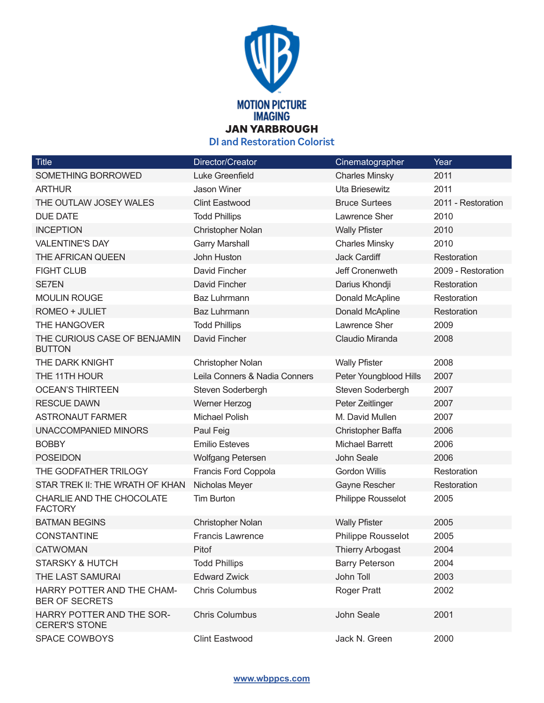

**DI and Restoration Colorist**

| Title                                               | Director/Creator              | Cinematographer        | Year               |
|-----------------------------------------------------|-------------------------------|------------------------|--------------------|
| SOMETHING BORROWED                                  | Luke Greenfield               | <b>Charles Minsky</b>  | 2011               |
| <b>ARTHUR</b>                                       | <b>Jason Winer</b>            | Uta Briesewitz         | 2011               |
| THE OUTLAW JOSEY WALES                              | <b>Clint Eastwood</b>         | <b>Bruce Surtees</b>   | 2011 - Restoration |
| <b>DUE DATE</b>                                     | <b>Todd Phillips</b>          | Lawrence Sher          | 2010               |
| <b>INCEPTION</b>                                    | Christopher Nolan             | <b>Wally Pfister</b>   | 2010               |
| <b>VALENTINE'S DAY</b>                              | <b>Garry Marshall</b>         | <b>Charles Minsky</b>  | 2010               |
| THE AFRICAN QUEEN                                   | <b>John Huston</b>            | <b>Jack Cardiff</b>    | Restoration        |
| <b>FIGHT CLUB</b>                                   | David Fincher                 | Jeff Cronenweth        | 2009 - Restoration |
| <b>SE7EN</b>                                        | David Fincher                 | Darius Khondji         | Restoration        |
| <b>MOULIN ROUGE</b>                                 | Baz Luhrmann                  | Donald McApline        | Restoration        |
| ROMEO + JULIET                                      | <b>Baz Luhrmann</b>           | Donald McApline        | Restoration        |
| THE HANGOVER                                        | <b>Todd Phillips</b>          | Lawrence Sher          | 2009               |
| THE CURIOUS CASE OF BENJAMIN<br><b>BUTTON</b>       | David Fincher                 | Claudio Miranda        | 2008               |
| THE DARK KNIGHT                                     | Christopher Nolan             | <b>Wally Pfister</b>   | 2008               |
| THE 11TH HOUR                                       | Leila Conners & Nadia Conners | Peter Youngblood Hills | 2007               |
| <b>OCEAN'S THIRTEEN</b>                             | Steven Soderbergh             | Steven Soderbergh      | 2007               |
| <b>RESCUE DAWN</b>                                  | Werner Herzog                 | Peter Zeitlinger       | 2007               |
| <b>ASTRONAUT FARMER</b>                             | Michael Polish                | M. David Mullen        | 2007               |
| UNACCOMPANIED MINORS                                | Paul Feig                     | Christopher Baffa      | 2006               |
| <b>BOBBY</b>                                        | <b>Emilio Esteves</b>         | <b>Michael Barrett</b> | 2006               |
| <b>POSEIDON</b>                                     | <b>Wolfgang Petersen</b>      | John Seale             | 2006               |
| THE GODFATHER TRILOGY                               | Francis Ford Coppola          | <b>Gordon Willis</b>   | Restoration        |
| STAR TREK II: THE WRATH OF KHAN                     | Nicholas Meyer                | Gayne Rescher          | Restoration        |
| CHARLIE AND THE CHOCOLATE<br><b>FACTORY</b>         | <b>Tim Burton</b>             | Philippe Rousselot     | 2005               |
| <b>BATMAN BEGINS</b>                                | Christopher Nolan             | <b>Wally Pfister</b>   | 2005               |
| <b>CONSTANTINE</b>                                  | <b>Francis Lawrence</b>       | Philippe Rousselot     | 2005               |
| <b>CATWOMAN</b>                                     | Pitof                         | Thierry Arbogast       | 2004               |
| <b>STARSKY &amp; HUTCH</b>                          | <b>Todd Phillips</b>          | <b>Barry Peterson</b>  | 2004               |
| THE LAST SAMURAI                                    | <b>Edward Zwick</b>           | John Toll              | 2003               |
| HARRY POTTER AND THE CHAM-<br><b>BER OF SECRETS</b> | <b>Chris Columbus</b>         | Roger Pratt            | 2002               |
| HARRY POTTER AND THE SOR-<br><b>CERER'S STONE</b>   | <b>Chris Columbus</b>         | John Seale             | 2001               |
| SPACE COWBOYS                                       | <b>Clint Eastwood</b>         | Jack N. Green          | 2000               |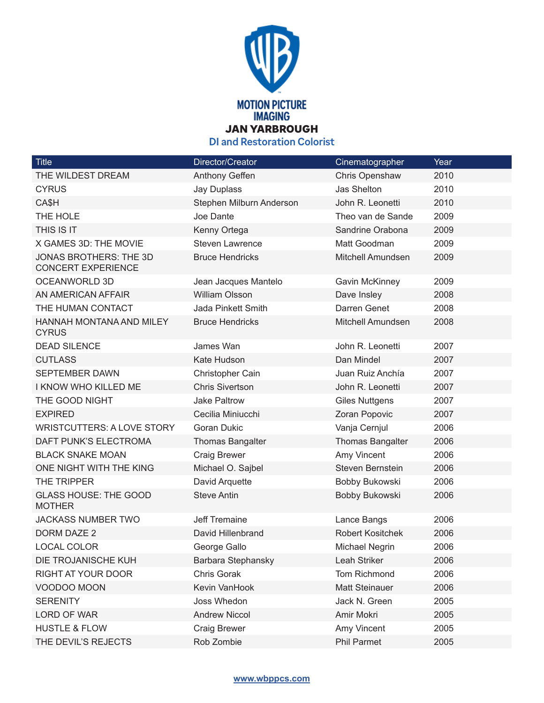

**DI and Restoration Colorist**

| <b>Title</b>                                               | Director/Creator         | Cinematographer         | Year |
|------------------------------------------------------------|--------------------------|-------------------------|------|
| THE WILDEST DREAM                                          | <b>Anthony Geffen</b>    | Chris Openshaw          | 2010 |
| <b>CYRUS</b>                                               | Jay Duplass              | Jas Shelton             | 2010 |
| CA\$H                                                      | Stephen Milburn Anderson | John R. Leonetti        | 2010 |
| THE HOLE                                                   | Joe Dante                | Theo van de Sande       | 2009 |
| THIS IS IT                                                 | Kenny Ortega             | Sandrine Orabona        | 2009 |
| X GAMES 3D: THE MOVIE                                      | <b>Steven Lawrence</b>   | Matt Goodman            | 2009 |
| <b>JONAS BROTHERS: THE 3D</b><br><b>CONCERT EXPERIENCE</b> | <b>Bruce Hendricks</b>   | Mitchell Amundsen       | 2009 |
| <b>OCEANWORLD 3D</b>                                       | Jean Jacques Mantelo     | Gavin McKinney          | 2009 |
| AN AMERICAN AFFAIR                                         | <b>William Olsson</b>    | Dave Insley             | 2008 |
| THE HUMAN CONTACT                                          | Jada Pinkett Smith       | Darren Genet            | 2008 |
| HANNAH MONTANA AND MILEY<br><b>CYRUS</b>                   | <b>Bruce Hendricks</b>   | Mitchell Amundsen       | 2008 |
| <b>DEAD SILENCE</b>                                        | James Wan                | John R. Leonetti        | 2007 |
| <b>CUTLASS</b>                                             | Kate Hudson              | Dan Mindel              | 2007 |
| <b>SEPTEMBER DAWN</b>                                      | Christopher Cain         | Juan Ruiz Anchía        | 2007 |
| I KNOW WHO KILLED ME                                       | <b>Chris Sivertson</b>   | John R. Leonetti        | 2007 |
| THE GOOD NIGHT                                             | <b>Jake Paltrow</b>      | <b>Giles Nuttgens</b>   | 2007 |
| <b>EXPIRED</b>                                             | Cecilia Miniucchi        | Zoran Popovic           | 2007 |
| <b>WRISTCUTTERS: A LOVE STORY</b>                          | <b>Goran Dukic</b>       | Vanja Cernjul           | 2006 |
| DAFT PUNK'S ELECTROMA                                      | Thomas Bangalter         | <b>Thomas Bangalter</b> | 2006 |
| <b>BLACK SNAKE MOAN</b>                                    | <b>Craig Brewer</b>      | Amy Vincent             | 2006 |
| ONE NIGHT WITH THE KING                                    | Michael O. Sajbel        | Steven Bernstein        | 2006 |
| THE TRIPPER                                                | David Arquette           | Bobby Bukowski          | 2006 |
| <b>GLASS HOUSE: THE GOOD</b><br><b>MOTHER</b>              | <b>Steve Antin</b>       | Bobby Bukowski          | 2006 |
| <b>JACKASS NUMBER TWO</b>                                  | Jeff Tremaine            | Lance Bangs             | 2006 |
| <b>DORM DAZE 2</b>                                         | David Hillenbrand        | <b>Robert Kositchek</b> | 2006 |
| <b>LOCAL COLOR</b>                                         | George Gallo             | <b>Michael Negrin</b>   | 2006 |
| DIE TROJANISCHE KUH                                        | Barbara Stephansky       | Leah Striker            | 2006 |
| RIGHT AT YOUR DOOR                                         | Chris Gorak              | <b>Tom Richmond</b>     | 2006 |
| VOODOO MOON                                                | Kevin VanHook            | <b>Matt Steinauer</b>   | 2006 |
| <b>SERENITY</b>                                            | Joss Whedon              | Jack N. Green           | 2005 |
| LORD OF WAR                                                | <b>Andrew Niccol</b>     | Amir Mokri              | 2005 |
| <b>HUSTLE &amp; FLOW</b>                                   | <b>Craig Brewer</b>      | Amy Vincent             | 2005 |
| THE DEVIL'S REJECTS                                        | Rob Zombie               | <b>Phil Parmet</b>      | 2005 |

## **www.wbppcs.com**